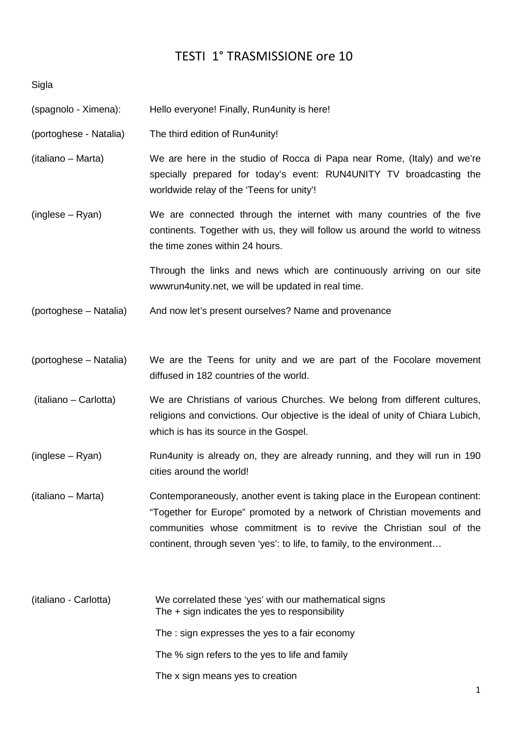## TESTI 1° TRASMISSIONE ore 10

Sigla

- (spagnolo Ximena): Hello everyone! Finally, Run4unity is here!
- (portoghese Natalia) The third edition of Run4unity!
- (italiano Marta) We are here in the studio of Rocca di Papa near Rome, (Italy) and we're specially prepared for today's event: RUN4UNITY TV broadcasting the worldwide relay of the 'Teens for unity'!
- (inglese Ryan) We are connected through the internet with many countries of the five continents. Together with us, they will follow us around the world to witness the time zones within 24 hours.

 Through the links and news which are continuously arriving on our site wwwrun4unity.net, we will be updated in real time.

- (portoghese Natalia) And now let's present ourselves? Name and provenance
- (portoghese Natalia) We are the Teens for unity and we are part of the Focolare movement diffused in 182 countries of the world.
- (italiano Carlotta) We are Christians of various Churches. We belong from different cultures, religions and convictions. Our objective is the ideal of unity of Chiara Lubich, which is has its source in the Gospel.
- (inglese Ryan) Run4unity is already on, they are already running, and they will run in 190 cities around the world!
- (italiano Marta) Contemporaneously, another event is taking place in the European continent: "Together for Europe" promoted by a network of Christian movements and communities whose commitment is to revive the Christian soul of the continent, through seven 'yes': to life, to family, to the environment…
- (italiano Carlotta) We correlated these 'yes' with our mathematical signs The + sign indicates the yes to responsibility The : sign expresses the yes to a fair economy The % sign refers to the yes to life and family The x sign means yes to creation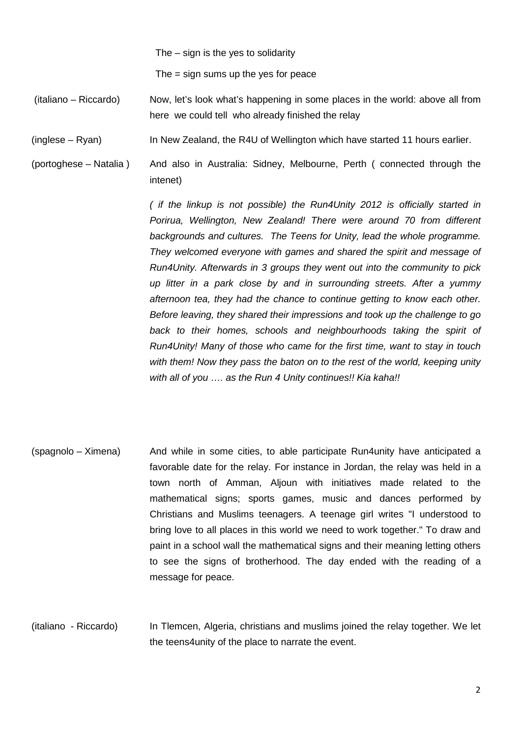The – sign is the yes to solidarity

The = sign sums up the yes for peace

 (italiano – Riccardo) Now, let's look what's happening in some places in the world: above all from here we could tell who already finished the relay

(inglese – Ryan) In New Zealand, the R4U of Wellington which have started 11 hours earlier.

(portoghese – Natalia ) And also in Australia: Sidney, Melbourne, Perth ( connected through the intenet)

> ( if the linkup is not possible) the Run4Unity 2012 is officially started in Porirua, Wellington, New Zealand! There were around 70 from different backgrounds and cultures. The Teens for Unity, lead the whole programme. They welcomed everyone with games and shared the spirit and message of Run4Unity. Afterwards in 3 groups they went out into the community to pick up litter in a park close by and in surrounding streets. After a yummy afternoon tea, they had the chance to continue getting to know each other. Before leaving, they shared their impressions and took up the challenge to go back to their homes, schools and neighbourhoods taking the spirit of Run4Unity! Many of those who came for the first time, want to stay in touch with them! Now they pass the baton on to the rest of the world, keeping unity with all of you .... as the Run 4 Unity continues!! Kia kaha!!

(spagnolo – Ximena) And while in some cities, to able participate Run4unity have anticipated a favorable date for the relay. For instance in Jordan, the relay was held in a town north of Amman, Aljoun with initiatives made related to the mathematical signs; sports games, music and dances performed by Christians and Muslims teenagers. A teenage girl writes "I understood to bring love to all places in this world we need to work together." To draw and paint in a school wall the mathematical signs and their meaning letting others to see the signs of brotherhood. The day ended with the reading of a message for peace.

(italiano - Riccardo) In Tlemcen, Algeria, christians and muslims joined the relay together. We let the teens4unity of the place to narrate the event.